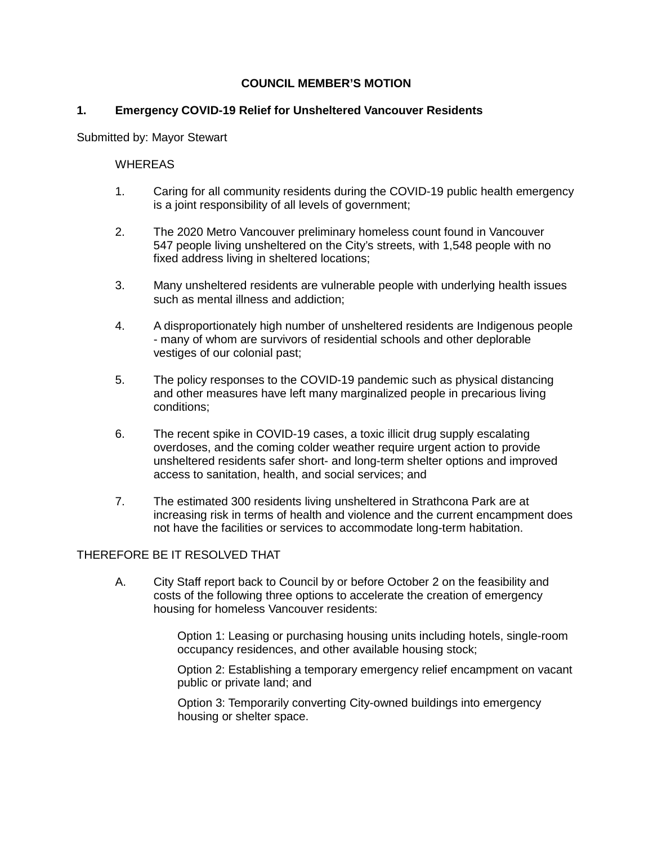## **COUNCIL MEMBER'S MOTION**

## **1. Emergency COVID-19 Relief for Unsheltered Vancouver Residents**

Submitted by: Mayor Stewart

## **WHEREAS**

- 1. Caring for all community residents during the COVID-19 public health emergency is a joint responsibility of all levels of government;
- 2. The 2020 Metro Vancouver preliminary homeless count found in Vancouver 547 people living unsheltered on the City's streets, with 1,548 people with no fixed address living in sheltered locations;
- 3. Many unsheltered residents are vulnerable people with underlying health issues such as mental illness and addiction;
- 4. A disproportionately high number of unsheltered residents are Indigenous people - many of whom are survivors of residential schools and other deplorable vestiges of our colonial past;
- 5. The policy responses to the COVID-19 pandemic such as physical distancing and other measures have left many marginalized people in precarious living conditions;
- 6. The recent spike in COVID-19 cases, a toxic illicit drug supply escalating overdoses, and the coming colder weather require urgent action to provide unsheltered residents safer short- and long-term shelter options and improved access to sanitation, health, and social services; and
- 7. The estimated 300 residents living unsheltered in Strathcona Park are at increasing risk in terms of health and violence and the current encampment does not have the facilities or services to accommodate long-term habitation.

## THEREFORE BE IT RESOLVED THAT

A. City Staff report back to Council by or before October 2 on the feasibility and costs of the following three options to accelerate the creation of emergency housing for homeless Vancouver residents:

> Option 1: Leasing or purchasing housing units including hotels, single-room occupancy residences, and other available housing stock;

Option 2: Establishing a temporary emergency relief encampment on vacant public or private land; and

Option 3: Temporarily converting City-owned buildings into emergency housing or shelter space.